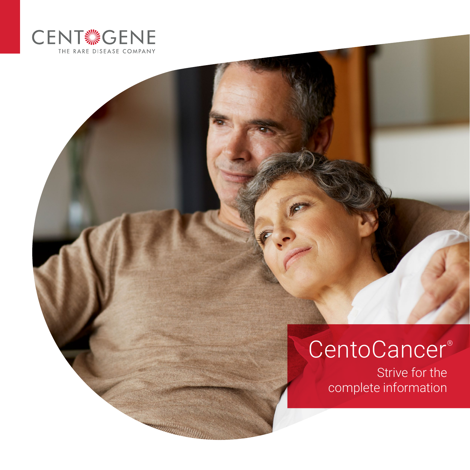

# CentoCancer<sup>®</sup>

Strive for the complete information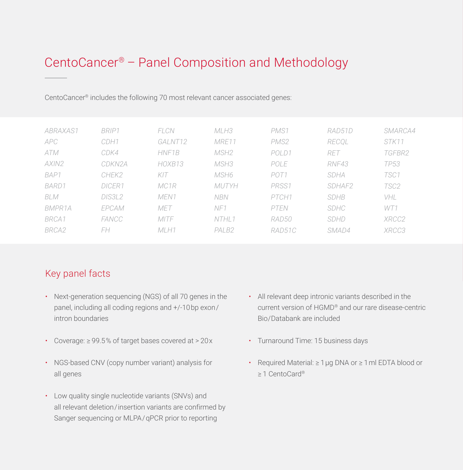## CentoCancer® – Panel Composition and Methodology

CentoCancer® includes the following 70 most relevant cancer associated genes:

| ABRAXAS1   | BRIP1  | FLCN             | MLH3              | PMS1             | RAD51D      | SMARCA4 |
|------------|--------|------------------|-------------------|------------------|-------------|---------|
| <b>APC</b> | CDH1   | GALNT12          | MRE11             | PMS2             | RECOL       | STK11   |
| ATM        | CDK4   | HNF1B            | MSH2              | POLD1            | RET         | TGFBR2  |
| AXIN2      | CDKN2A | HOXB13           | MSH3              | POLE             | RNF43       | TP53    |
| BAP1       | CHEK2  | KIT              | MSH6              | POT <sub>1</sub> | SDHA        | TSC1    |
| BARD1      | DICFR1 | MC1R             | <b>MUTYH</b>      | PRSS1            | SDHAF2      | TSC2    |
| <b>BLM</b> | DIS3L2 | MEN <sub>1</sub> | <b>NBN</b>        | PTCH1            | <b>SDHB</b> | VHL     |
| BMPR1A     | EPCAM  | MET              | NF1               | PTEN             | SDHC        | WT1     |
| BRCA1      | FANCC  | <b>MITF</b>      | NTHL <sub>1</sub> | RAD50            | <b>SDHD</b> | XRCC2   |
| BRCA2      | FH     | $MI$ H1          | PALB <sub>2</sub> | RAD51C           | SMAD4       | XRCC3   |
|            |        |                  |                   |                  |             |         |

#### Key panel facts

- Next-generation sequencing (NGS) of all 70 genes in the panel, including all coding regions and +/-10 bp exon / intron boundaries
- Coverage: ≥ 99.5 % of target bases covered at > 20 x
- NGS-based CNV (copy number variant) analysis for all genes
- Low quality single nucleotide variants (SNVs) and all relevant deletion/insertion variants are confirmed by Sanger sequencing or MLPA/qPCR prior to reporting
- All relevant deep intronic variants described in the current version of HGMD® and our rare disease-centric Bio/Databank are included
- Turnaround Time: 15 business days
- Required Material: ≥ 1 μg DNA or ≥ 1 ml EDTA blood or ≥ 1 CentoCard®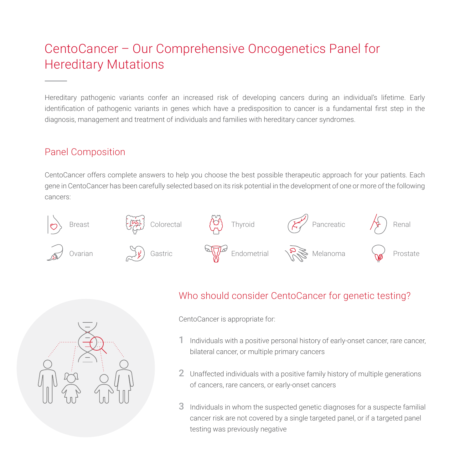## CentoCancer – Our Comprehensive Oncogenetics Panel for Hereditary Mutations

Hereditary pathogenic variants confer an increased risk of developing cancers during an individual's lifetime. Early identification of pathogenic variants in genes which have a predisposition to cancer is a fundamental first step in the diagnosis, management and treatment of individuals and families with hereditary cancer syndromes.

#### Panel Composition

CentoCancer offers complete answers to help you choose the best possible therapeutic approach for your patients. Each gene in CentoCancer has been carefully selected based on its risk potential in the development of one or more of the following cancers:





#### Who should consider CentoCancer for genetic testing?

CentoCancer is appropriate for:

- Individuals with a positive personal history of early-onset cancer, rare cancer, bilateral cancer, or multiple primary cancers 1
- 2 Unaffected individuals with a positive family history of multiple generations of cancers, rare cancers, or early-onset cancers
- 3 Individuals in whom the suspected genetic diagnoses for a suspecte familial cancer risk are not covered by a single targeted panel, or if a targeted panel testing was previously negative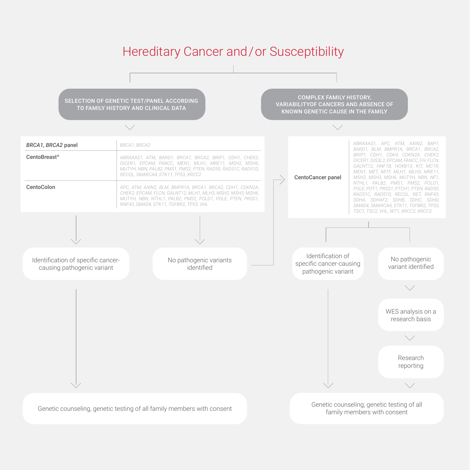### Hereditary Cancer and / or Susceptibility

SELECTION OF GENETIC TEST/PANEL ACCORDING TO FAMILY HISTORY AND CLINICAL DATA

COMPLEX FAMILY HISTORY, VARIABILITYOF CANCERS AND ABSENCE OF KNOWN GENETIC CAUSE IN THE FAMILY



family members with consent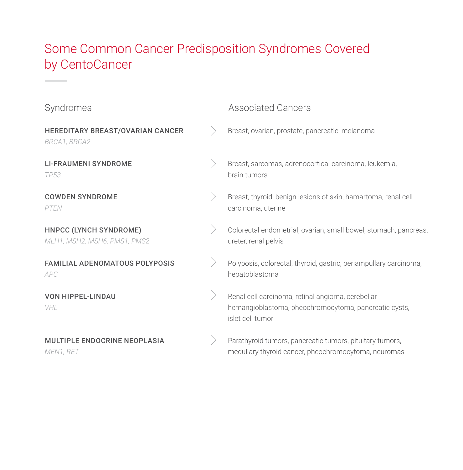## Some Common Cancer Predisposition Syndromes Covered by CentoCancer

| Syndromes                                              | <b>Associated Cancers</b>                                                                                                      |
|--------------------------------------------------------|--------------------------------------------------------------------------------------------------------------------------------|
| HEREDITARY BREAST/OVARIAN CANCER<br>BRCA1, BRCA2       | Breast, ovarian, prostate, pancreatic, melanoma                                                                                |
| LI-FRAUMENI SYNDROME<br><b>TP53</b>                    | Breast, sarcomas, adrenocortical carcinoma, leukemia,<br>brain tumors                                                          |
| <b>COWDEN SYNDROME</b><br>PTEN                         | Breast, thyroid, benign lesions of skin, hamartoma, renal cell<br>carcinoma, uterine                                           |
| HNPCC (LYNCH SYNDROME)<br>MLH1, MSH2, MSH6, PMS1, PMS2 | Colorectal endometrial, ovarian, small bowel, stomach, pancreas,<br>ureter, renal pelvis                                       |
| FAMILIAL ADENOMATOUS POLYPOSIS<br>APC                  | Polyposis, colorectal, thyroid, gastric, periampullary carcinoma,<br>hepatoblastoma                                            |
| <b>VON HIPPEL-LINDAU</b><br>VHL                        | Renal cell carcinoma, retinal angioma, cerebellar<br>hemangioblastoma, pheochromocytoma, pancreatic cysts,<br>islet cell tumor |
| <b>MULTIPLE ENDOCRINE NEOPLASIA</b><br>MEN1, RET       | Parathyroid tumors, pancreatic tumors, pituitary tumors,<br>medullary thyroid cancer, pheochromocytoma, neuromas               |